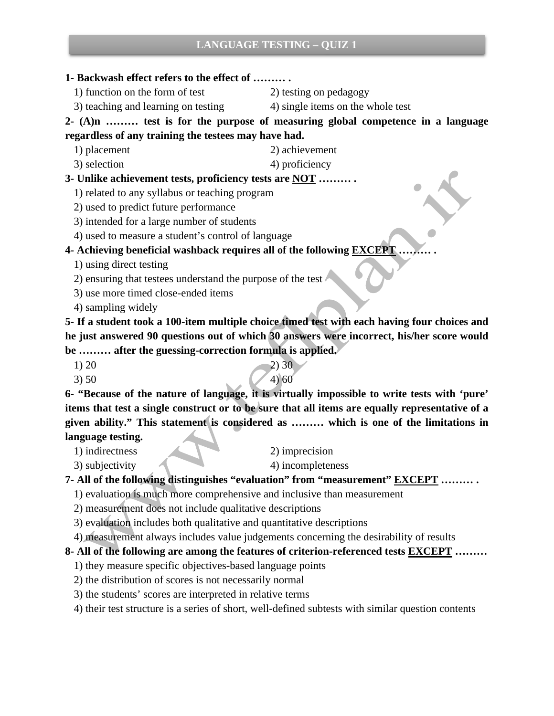### **LANGUAGE TESTING – QUIZ 1**

- **1- Backwash effect refers to the effect of ……… .**
	- 1) function on the form of test 2) testing on pedagogy
		-
	- 3) teaching and learning on testing 4) single items on the whole test

**2- (A)n ……… test is for the purpose of measuring global competence in a language regardless of any training the testees may have had.**

- 1) placement 2) achievement
- 3) selection 4) proficiency

#### **3- Unlike achievement tests, proficiency tests are NOT ……… .**

- 1) related to any syllabus or teaching program
- 2) used to predict future performance
- 3) intended for a large number of students
- 4) used to measure a student's control of language

### **4- Achieving beneficial washback requires all of the following EXCEPT ……… .**

- 1) using direct testing
- 2) ensuring that testees understand the purpose of the test
- 3) use more timed close-ended items
- 4) sampling widely

**5- If a student took a 100-item multiple choice timed test with each having four choices and he just answered 90 questions out of which 30 answers were incorrect, his/her score would be ……… after the guessing-correction formula is applied.** 

- 1) 20  $\sim$  2) 30
- 3) 50  $(4)$  60

**6- "Because of the nature of language, it is virtually impossible to write tests with 'pure' items that test a single construct or to be sure that all items are equally representative of a given ability." This statement is considered as ……… which is one of the limitations in language testing.** 

- 1) indirectness 2) imprecision
- 
- 
- 3) subjectivity 4) incompleteness
- **7- All of the following distinguishes "evaluation" from "measurement" EXCEPT ……… .**
	- 1) evaluation is much more comprehensive and inclusive than measurement
	- 2) measurement does not include qualitative descriptions
	- 3) evaluation includes both qualitative and quantitative descriptions
	- 4) measurement always includes value judgements concerning the desirability of results

#### **8- All of the following are among the features of criterion-referenced tests EXCEPT ………**

- 1) they measure specific objectives-based language points
- 2) the distribution of scores is not necessarily normal
- 3) the students' scores are interpreted in relative terms

4) their test structure is a series of short, well-defined subtests with similar question contents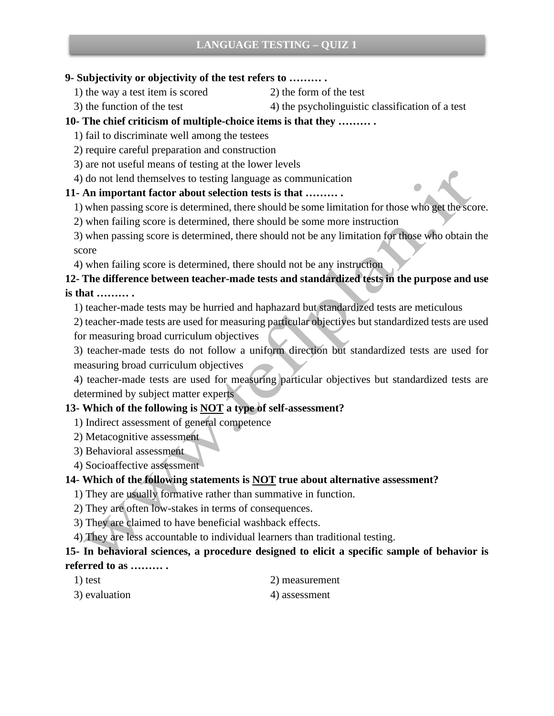#### **9- Subjectivity or objectivity of the test refers to ……… .**

- 1) the way a test item is scored 2) the form of the test
	-
- 

# 3) the function of the test  $\begin{pmatrix} 4 \end{pmatrix}$  the psycholinguistic classification of a test

### **10- The chief criticism of multiple-choice items is that they ……… .**

- 1) fail to discriminate well among the testees
- 2) require careful preparation and construction
- 3) are not useful means of testing at the lower levels
- 4) do not lend themselves to testing language as communication

### **11- An important factor about selection tests is that ……… .**

- 1) when passing score is determined, there should be some limitation for those who get the score.
- 2) when failing score is determined, there should be some more instruction

3) when passing score is determined, there should not be any limitation for those who obtain the score

4) when failing score is determined, there should not be any instruction

### **12- The difference between teacher-made tests and standardized tests in the purpose and use is that ……… .**

1) teacher-made tests may be hurried and haphazard but standardized tests are meticulous

2) teacher-made tests are used for measuring particular objectives but standardized tests are used for measuring broad curriculum objectives

3) teacher-made tests do not follow a uniform direction but standardized tests are used for measuring broad curriculum objectives

4) teacher-made tests are used for measuring particular objectives but standardized tests are determined by subject matter experts

## **13- Which of the following is NOT a type of self-assessment?**

- 1) Indirect assessment of general competence
- 2) Metacognitive assessment
- 3) Behavioral assessment
- 4) Socioaffective assessment

## **14- Which of the following statements is NOT true about alternative assessment?**

- 1) They are usually formative rather than summative in function.
- 2) They are often low-stakes in terms of consequences.
- 3) They are claimed to have beneficial washback effects.
- 4) They are less accountable to individual learners than traditional testing.

### **15- In behavioral sciences, a procedure designed to elicit a specific sample of behavior is referred to as ……… .**

- 
- 1) test 2) measurement
- 3) evaluation 4) assessment
-